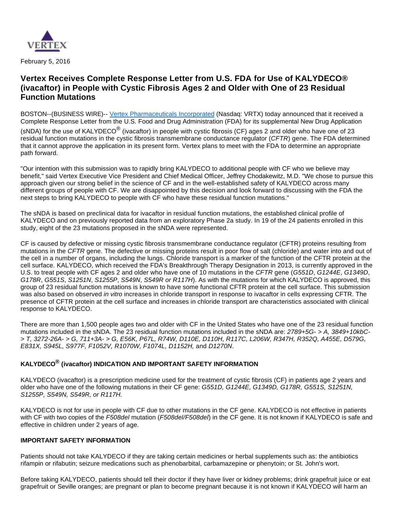

February 5, 2016

## **Vertex Receives Complete Response Letter from U.S. FDA for Use of KALYDECO® (ivacaftor) in People with Cystic Fibrosis Ages 2 and Older with One of 23 Residual Function Mutations**

BOSTON--(BUSINESS WIRE)-- [Vertex Pharmaceuticals Incorporated](http://cts.businesswire.com/ct/CT?id=smartlink&url=http%3A%2F%2Fwww.vrtx.com&esheet=51273926&newsitemid=20160205005336&lan=en-US&anchor=Vertex+Pharmaceuticals+Incorporated&index=1&md5=d9a7c2008d149c24177b3ad9f89ece8a) (Nasdaq: VRTX) today announced that it received a Complete Response Letter from the U.S. Food and Drug Administration (FDA) for its supplemental New Drug Application

(sNDA) for the use of KALYDECO $^\circledR$  (ivacaftor) in people with cystic fibrosis (CF) ages 2 and older who have one of 23 residual function mutations in the cystic fibrosis transmembrane conductance regulator (CFTR) gene. The FDA determined that it cannot approve the application in its present form. Vertex plans to meet with the FDA to determine an appropriate path forward.

"Our intention with this submission was to rapidly bring KALYDECO to additional people with CF who we believe may benefit," said Vertex Executive Vice President and Chief Medical Officer, Jeffrey Chodakewitz, M.D. "We chose to pursue this approach given our strong belief in the science of CF and in the well-established safety of KALYDECO across many different groups of people with CF. We are disappointed by this decision and look forward to discussing with the FDA the next steps to bring KALYDECO to people with CF who have these residual function mutations."

The sNDA is based on preclinical data for ivacaftor in residual function mutations, the established clinical profile of KALYDECO and on previously reported data from an exploratory Phase 2a study. In 19 of the 24 patients enrolled in this study, eight of the 23 mutations proposed in the sNDA were represented.

CF is caused by defective or missing cystic fibrosis transmembrane conductance regulator (CFTR) proteins resulting from mutations in the CFTR gene. The defective or missing proteins result in poor flow of salt (chloride) and water into and out of the cell in a number of organs, including the lungs. Chloride transport is a marker of the function of the CFTR protein at the cell surface. KALYDECO, which received the FDA's Breakthrough Therapy Designation in 2013, is currently approved in the U.S. to treat people with CF ages 2 and older who have one of 10 mutations in the CFTR gene (G551D, G1244E, G1349D, G178R, G551S, S1251N, S1255P, S549N, S549R or R117H). As with the mutations for which KALYDECO is approved, this group of 23 residual function mutations is known to have some functional CFTR protein at the cell surface. This submission was also based on observed in vitro increases in chloride transport in response to ivacaftor in cells expressing CFTR. The presence of CFTR protein at the cell surface and increases in chloride transport are characteristics associated with clinical response to KALYDECO.

There are more than 1,500 people ages two and older with CF in the United States who have one of the 23 residual function mutations included in the sNDA. The 23 residual function mutations included in the sNDA are: 2789+5G- > A, 3849+10kbC-> T, 3272-26A- > G, 711+3A- > G, E56K, P67L, R74W, D110E, D110H, R117C, L206W, R347H, R352Q, A455E, D579G, E831X, S945L, S977F, F1052V, R1070W, F1074L, D1152H, and D1270N.

### **KALYDECO® (ivacaftor) INDICATION AND IMPORTANT SAFETY INFORMATION**

KALYDECO (ivacaftor) is a prescription medicine used for the treatment of cystic fibrosis (CF) in patients age 2 years and older who have one of the following mutations in their CF gene: G551D, G1244E, G1349D, G178R, G551S, S1251N, S1255P, S549N, S549R, or R117H.

KALYDECO is not for use in people with CF due to other mutations in the CF gene. KALYDECO is not effective in patients with CF with two copies of the F508del mutation (F508del/F508del) in the CF gene. It is not known if KALYDECO is safe and effective in children under 2 years of age.

#### **IMPORTANT SAFETY INFORMATION**

Patients should not take KALYDECO if they are taking certain medicines or herbal supplements such as: the antibiotics rifampin or rifabutin; seizure medications such as phenobarbital, carbamazepine or phenytoin; or St. John's wort.

Before taking KALYDECO, patients should tell their doctor if they have liver or kidney problems; drink grapefruit juice or eat grapefruit or Seville oranges; are pregnant or plan to become pregnant because it is not known if KALYDECO will harm an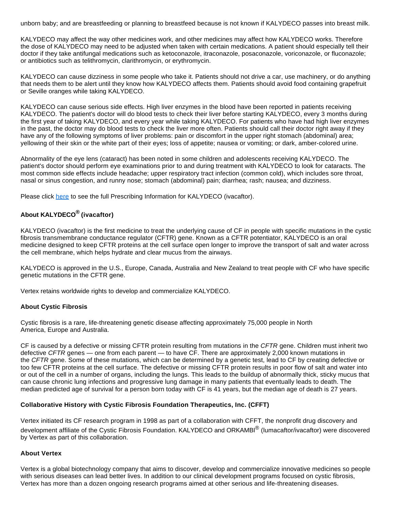unborn baby; and are breastfeeding or planning to breastfeed because is not known if KALYDECO passes into breast milk.

KALYDECO may affect the way other medicines work, and other medicines may affect how KALYDECO works. Therefore the dose of KALYDECO may need to be adjusted when taken with certain medications. A patient should especially tell their doctor if they take antifungal medications such as ketoconazole, itraconazole, posaconazole, voriconazole, or fluconazole; or antibiotics such as telithromycin, clarithromycin, or erythromycin.

KALYDECO can cause dizziness in some people who take it. Patients should not drive a car, use machinery, or do anything that needs them to be alert until they know how KALYDECO affects them. Patients should avoid food containing grapefruit or Seville oranges while taking KALYDECO.

KALYDECO can cause serious side effects. High liver enzymes in the blood have been reported in patients receiving KALYDECO. The patient's doctor will do blood tests to check their liver before starting KALYDECO, every 3 months during the first year of taking KALYDECO, and every year while taking KALYDECO. For patients who have had high liver enzymes in the past, the doctor may do blood tests to check the liver more often. Patients should call their doctor right away if they have any of the following symptoms of liver problems: pain or discomfort in the upper right stomach (abdominal) area; yellowing of their skin or the white part of their eyes; loss of appetite; nausea or vomiting; or dark, amber-colored urine.

Abnormality of the eye lens (cataract) has been noted in some children and adolescents receiving KALYDECO. The patient's doctor should perform eye examinations prior to and during treatment with KALYDECO to look for cataracts. The most common side effects include headache; upper respiratory tract infection (common cold), which includes sore throat, nasal or sinus congestion, and runny nose; stomach (abdominal) pain; diarrhea; rash; nausea; and dizziness.

Please click [here](http://cts.businesswire.com/ct/CT?id=smartlink&url=http%3A%2F%2Fpi.vrtx.com%2Ffiles%2Fuspi_ivacaftor.pdf&esheet=51273926&newsitemid=20160205005336&lan=en-US&anchor=here&index=2&md5=1d277f7f685fcb108d254dcee1e341c8) to see the full Prescribing Information for KALYDECO (ivacaftor).

# **About KALYDECO® (ivacaftor)**

KALYDECO (ivacaftor) is the first medicine to treat the underlying cause of CF in people with specific mutations in the cystic fibrosis transmembrane conductance regulator (CFTR) gene. Known as a CFTR potentiator, KALYDECO is an oral medicine designed to keep CFTR proteins at the cell surface open longer to improve the transport of salt and water across the cell membrane, which helps hydrate and clear mucus from the airways.

KALYDECO is approved in the U.S., Europe, Canada, Australia and New Zealand to treat people with CF who have specific genetic mutations in the CFTR gene.

Vertex retains worldwide rights to develop and commercialize KALYDECO.

### **About Cystic Fibrosis**

Cystic fibrosis is a rare, life-threatening genetic disease affecting approximately 75,000 people in North America, Europe and Australia.

CF is caused by a defective or missing CFTR protein resulting from mutations in the CFTR gene. Children must inherit two defective CFTR genes — one from each parent — to have CF. There are approximately 2,000 known mutations in the CFTR gene. Some of these mutations, which can be determined by a genetic test, lead to CF by creating defective or too few CFTR proteins at the cell surface. The defective or missing CFTR protein results in poor flow of salt and water into or out of the cell in a number of organs, including the lungs. This leads to the buildup of abnormally thick, sticky mucus that can cause chronic lung infections and progressive lung damage in many patients that eventually leads to death. The median predicted age of survival for a person born today with CF is 41 years, but the median age of death is 27 years.

### **Collaborative History with Cystic Fibrosis Foundation Therapeutics, Inc. (CFFT)**

Vertex initiated its CF research program in 1998 as part of a collaboration with CFFT, the nonprofit drug discovery and development affiliate of the Cystic Fibrosis Foundation. KALYDECO and ORKAMBI<sup>®</sup> (lumacaftor/ivacaftor) were discovered by Vertex as part of this collaboration.

### **About Vertex**

Vertex is a global biotechnology company that aims to discover, develop and commercialize innovative medicines so people with serious diseases can lead better lives. In addition to our clinical development programs focused on cystic fibrosis, Vertex has more than a dozen ongoing research programs aimed at other serious and life-threatening diseases.